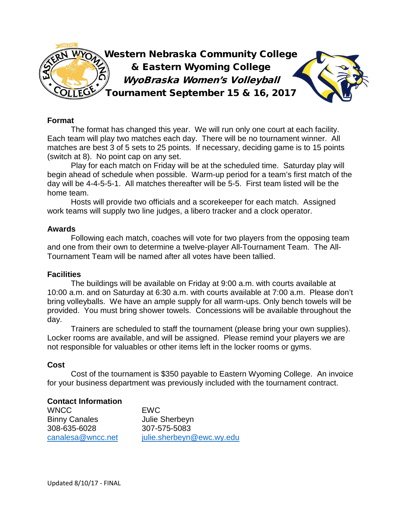

## **Format**

The format has changed this year. We will run only one court at each facility. Each team will play two matches each day. There will be no tournament winner. All matches are best 3 of 5 sets to 25 points. If necessary, deciding game is to 15 points (switch at 8). No point cap on any set.

Play for each match on Friday will be at the scheduled time. Saturday play will begin ahead of schedule when possible. Warm-up period for a team's first match of the day will be 4-4-5-5-1. All matches thereafter will be 5-5. First team listed will be the home team.

Hosts will provide two officials and a scorekeeper for each match. Assigned work teams will supply two line judges, a libero tracker and a clock operator.

### **Awards**

Following each match, coaches will vote for two players from the opposing team and one from their own to determine a twelve-player All-Tournament Team. The All-Tournament Team will be named after all votes have been tallied.

### **Facilities**

The buildings will be available on Friday at 9:00 a.m. with courts available at 10:00 a.m. and on Saturday at 6:30 a.m. with courts available at 7:00 a.m. Please don't bring volleyballs. We have an ample supply for all warm-ups. Only bench towels will be provided. You must bring shower towels. Concessions will be available throughout the day.

Trainers are scheduled to staff the tournament (please bring your own supplies). Locker rooms are available, and will be assigned. Please remind your players we are not responsible for valuables or other items left in the locker rooms or gyms.

# **Cost**

Cost of the tournament is \$350 payable to Eastern Wyoming College. An invoice for your business department was previously included with the tournament contract.

# **Contact Information**

WNCC EWC Binny Canales Julie Sherbeyn 308-635-6028 307-575-5083

[canalesa@wncc.net](mailto:canalesa@wncc.net) [julie.sherbeyn@ewc.wy.edu](mailto:julie.sherbeyn@ewc.wy.edu)